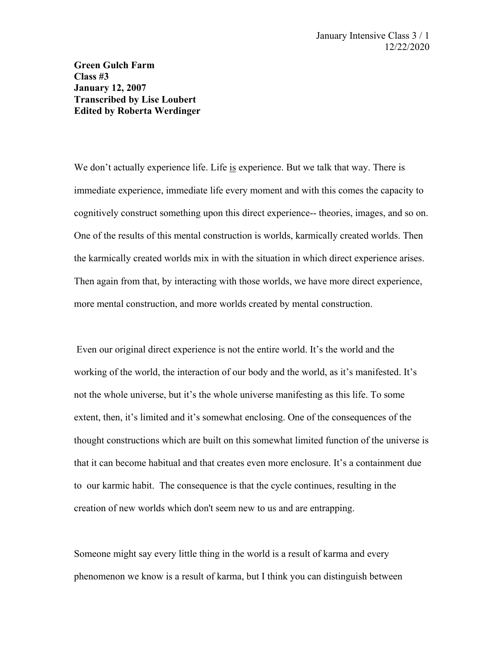**Green Gulch Farm Class #3 January 12, 2007 Transcribed by Lise Loubert Edited by Roberta Werdinger**

We don't actually experience life. Life is experience. But we talk that way. There is immediate experience, immediate life every moment and with this comes the capacity to cognitively construct something upon this direct experience-- theories, images, and so on. One of the results of this mental construction is worlds, karmically created worlds. Then the karmically created worlds mix in with the situation in which direct experience arises. Then again from that, by interacting with those worlds, we have more direct experience, more mental construction, and more worlds created by mental construction.

 Even our original direct experience is not the entire world. It's the world and the working of the world, the interaction of our body and the world, as it's manifested. It's not the whole universe, but it's the whole universe manifesting as this life. To some extent, then, it's limited and it's somewhat enclosing. One of the consequences of the thought constructions which are built on this somewhat limited function of the universe is that it can become habitual and that creates even more enclosure. It's a containment due to our karmic habit. The consequence is that the cycle continues, resulting in the creation of new worlds which don't seem new to us and are entrapping.

Someone might say every little thing in the world is a result of karma and every phenomenon we know is a result of karma, but I think you can distinguish between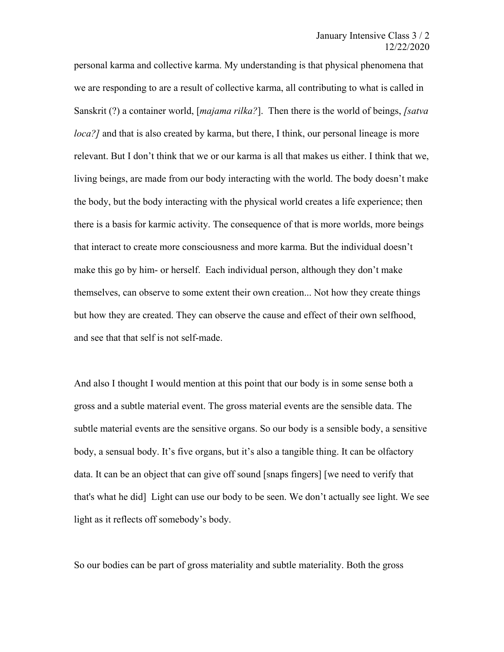personal karma and collective karma. My understanding is that physical phenomena that we are responding to are a result of collective karma, all contributing to what is called in Sanskrit (?) a container world, [*majama rilka?*]. Then there is the world of beings, *[satva loca?]* and that is also created by karma, but there, I think, our personal lineage is more relevant. But I don't think that we or our karma is all that makes us either. I think that we, living beings, are made from our body interacting with the world. The body doesn't make the body, but the body interacting with the physical world creates a life experience; then there is a basis for karmic activity. The consequence of that is more worlds, more beings that interact to create more consciousness and more karma. But the individual doesn't make this go by him- or herself. Each individual person, although they don't make themselves, can observe to some extent their own creation... Not how they create things but how they are created. They can observe the cause and effect of their own selfhood, and see that that self is not self-made.

And also I thought I would mention at this point that our body is in some sense both a gross and a subtle material event. The gross material events are the sensible data. The subtle material events are the sensitive organs. So our body is a sensible body, a sensitive body, a sensual body. It's five organs, but it's also a tangible thing. It can be olfactory data. It can be an object that can give off sound [snaps fingers] [we need to verify that that's what he did] Light can use our body to be seen. We don't actually see light. We see light as it reflects off somebody's body.

So our bodies can be part of gross materiality and subtle materiality. Both the gross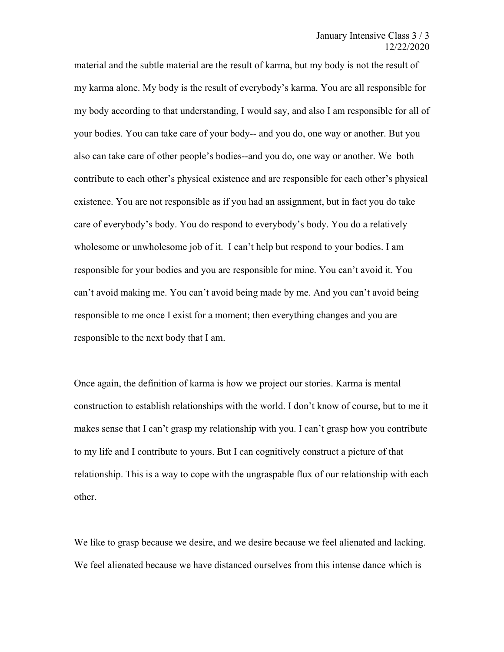material and the subtle material are the result of karma, but my body is not the result of my karma alone. My body is the result of everybody's karma. You are all responsible for my body according to that understanding, I would say, and also I am responsible for all of your bodies. You can take care of your body-- and you do, one way or another. But you also can take care of other people's bodies--and you do, one way or another. We both contribute to each other's physical existence and are responsible for each other's physical existence. You are not responsible as if you had an assignment, but in fact you do take care of everybody's body. You do respond to everybody's body. You do a relatively wholesome or unwholesome job of it. I can't help but respond to your bodies. I am responsible for your bodies and you are responsible for mine. You can't avoid it. You can't avoid making me. You can't avoid being made by me. And you can't avoid being responsible to me once I exist for a moment; then everything changes and you are responsible to the next body that I am.

Once again, the definition of karma is how we project our stories. Karma is mental construction to establish relationships with the world. I don't know of course, but to me it makes sense that I can't grasp my relationship with you. I can't grasp how you contribute to my life and I contribute to yours. But I can cognitively construct a picture of that relationship. This is a way to cope with the ungraspable flux of our relationship with each other.

We like to grasp because we desire, and we desire because we feel alienated and lacking. We feel alienated because we have distanced ourselves from this intense dance which is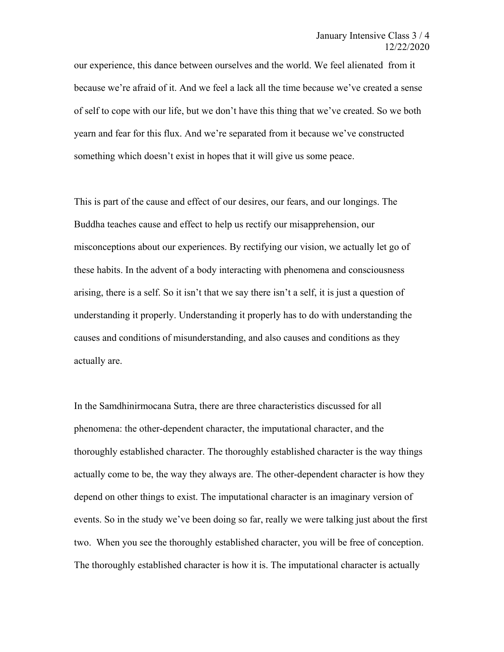our experience, this dance between ourselves and the world. We feel alienated from it because we're afraid of it. And we feel a lack all the time because we've created a sense of self to cope with our life, but we don't have this thing that we've created. So we both yearn and fear for this flux. And we're separated from it because we've constructed something which doesn't exist in hopes that it will give us some peace.

This is part of the cause and effect of our desires, our fears, and our longings. The Buddha teaches cause and effect to help us rectify our misapprehension, our misconceptions about our experiences. By rectifying our vision, we actually let go of these habits. In the advent of a body interacting with phenomena and consciousness arising, there is a self. So it isn't that we say there isn't a self, it is just a question of understanding it properly. Understanding it properly has to do with understanding the causes and conditions of misunderstanding, and also causes and conditions as they actually are.

In the Samdhinirmocana Sutra, there are three characteristics discussed for all phenomena: the other-dependent character, the imputational character, and the thoroughly established character. The thoroughly established character is the way things actually come to be, the way they always are. The other-dependent character is how they depend on other things to exist. The imputational character is an imaginary version of events. So in the study we've been doing so far, really we were talking just about the first two. When you see the thoroughly established character, you will be free of conception. The thoroughly established character is how it is. The imputational character is actually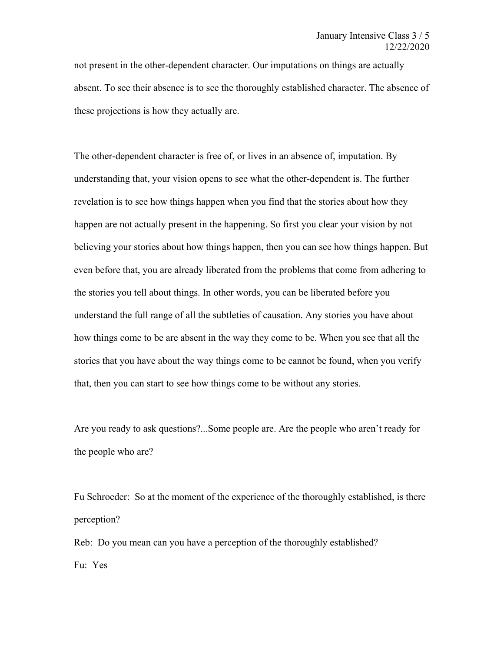not present in the other-dependent character. Our imputations on things are actually absent. To see their absence is to see the thoroughly established character. The absence of these projections is how they actually are.

The other-dependent character is free of, or lives in an absence of, imputation. By understanding that, your vision opens to see what the other-dependent is. The further revelation is to see how things happen when you find that the stories about how they happen are not actually present in the happening. So first you clear your vision by not believing your stories about how things happen, then you can see how things happen. But even before that, you are already liberated from the problems that come from adhering to the stories you tell about things. In other words, you can be liberated before you understand the full range of all the subtleties of causation. Any stories you have about how things come to be are absent in the way they come to be. When you see that all the stories that you have about the way things come to be cannot be found, when you verify that, then you can start to see how things come to be without any stories.

Are you ready to ask questions?...Some people are. Are the people who aren't ready for the people who are?

Fu Schroeder: So at the moment of the experience of the thoroughly established, is there perception?

Reb: Do you mean can you have a perception of the thoroughly established? Fu: Yes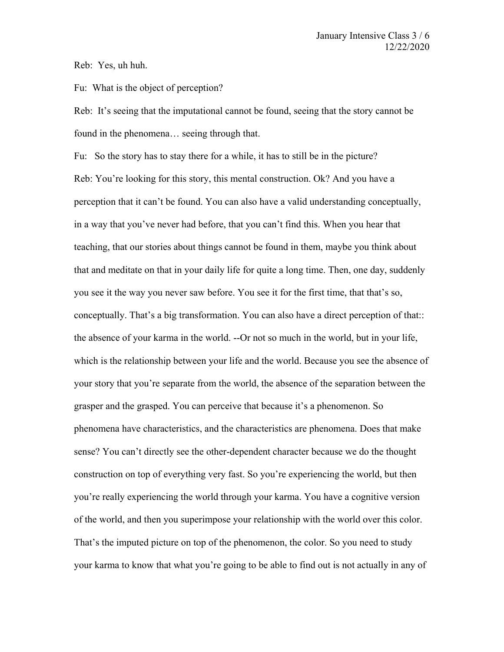Reb: Yes, uh huh.

Fu: What is the object of perception?

Reb: It's seeing that the imputational cannot be found, seeing that the story cannot be found in the phenomena… seeing through that.

Fu: So the story has to stay there for a while, it has to still be in the picture? Reb: You're looking for this story, this mental construction. Ok? And you have a perception that it can't be found. You can also have a valid understanding conceptually, in a way that you've never had before, that you can't find this. When you hear that teaching, that our stories about things cannot be found in them, maybe you think about that and meditate on that in your daily life for quite a long time. Then, one day, suddenly you see it the way you never saw before. You see it for the first time, that that's so, conceptually. That's a big transformation. You can also have a direct perception of that:: the absence of your karma in the world. --Or not so much in the world, but in your life, which is the relationship between your life and the world. Because you see the absence of your story that you're separate from the world, the absence of the separation between the grasper and the grasped. You can perceive that because it's a phenomenon. So phenomena have characteristics, and the characteristics are phenomena. Does that make sense? You can't directly see the other-dependent character because we do the thought construction on top of everything very fast. So you're experiencing the world, but then you're really experiencing the world through your karma. You have a cognitive version of the world, and then you superimpose your relationship with the world over this color. That's the imputed picture on top of the phenomenon, the color. So you need to study your karma to know that what you're going to be able to find out is not actually in any of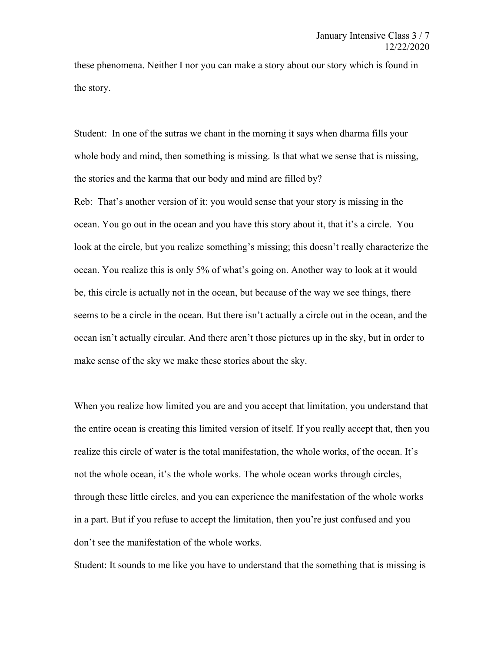these phenomena. Neither I nor you can make a story about our story which is found in the story.

Student: In one of the sutras we chant in the morning it says when dharma fills your whole body and mind, then something is missing. Is that what we sense that is missing, the stories and the karma that our body and mind are filled by?

Reb: That's another version of it: you would sense that your story is missing in the ocean. You go out in the ocean and you have this story about it, that it's a circle. You look at the circle, but you realize something's missing; this doesn't really characterize the ocean. You realize this is only 5% of what's going on. Another way to look at it would be, this circle is actually not in the ocean, but because of the way we see things, there seems to be a circle in the ocean. But there isn't actually a circle out in the ocean, and the ocean isn't actually circular. And there aren't those pictures up in the sky, but in order to make sense of the sky we make these stories about the sky.

When you realize how limited you are and you accept that limitation, you understand that the entire ocean is creating this limited version of itself. If you really accept that, then you realize this circle of water is the total manifestation, the whole works, of the ocean. It's not the whole ocean, it's the whole works. The whole ocean works through circles, through these little circles, and you can experience the manifestation of the whole works in a part. But if you refuse to accept the limitation, then you're just confused and you don't see the manifestation of the whole works.

Student: It sounds to me like you have to understand that the something that is missing is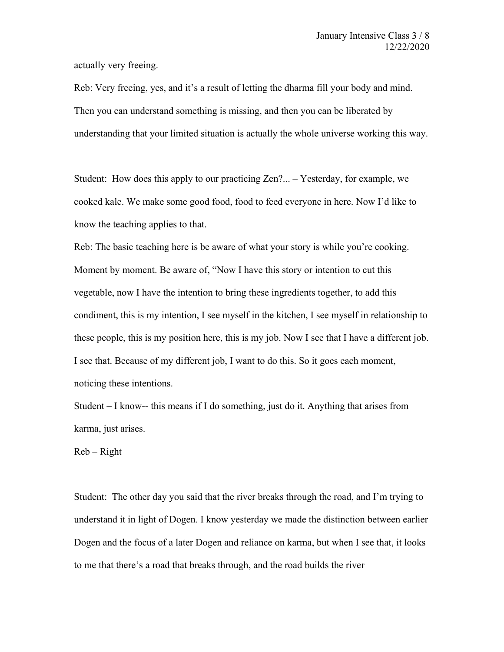actually very freeing.

Reb: Very freeing, yes, and it's a result of letting the dharma fill your body and mind. Then you can understand something is missing, and then you can be liberated by understanding that your limited situation is actually the whole universe working this way.

Student: How does this apply to our practicing Zen?... – Yesterday, for example, we cooked kale. We make some good food, food to feed everyone in here. Now I'd like to know the teaching applies to that.

Reb: The basic teaching here is be aware of what your story is while you're cooking. Moment by moment. Be aware of, "Now I have this story or intention to cut this vegetable, now I have the intention to bring these ingredients together, to add this condiment, this is my intention, I see myself in the kitchen, I see myself in relationship to these people, this is my position here, this is my job. Now I see that I have a different job. I see that. Because of my different job, I want to do this. So it goes each moment, noticing these intentions.

Student  $-1$  know-- this means if I do something, just do it. Anything that arises from karma, just arises.

 $Reb - Right$ 

Student: The other day you said that the river breaks through the road, and I'm trying to understand it in light of Dogen. I know yesterday we made the distinction between earlier Dogen and the focus of a later Dogen and reliance on karma, but when I see that, it looks to me that there's a road that breaks through, and the road builds the river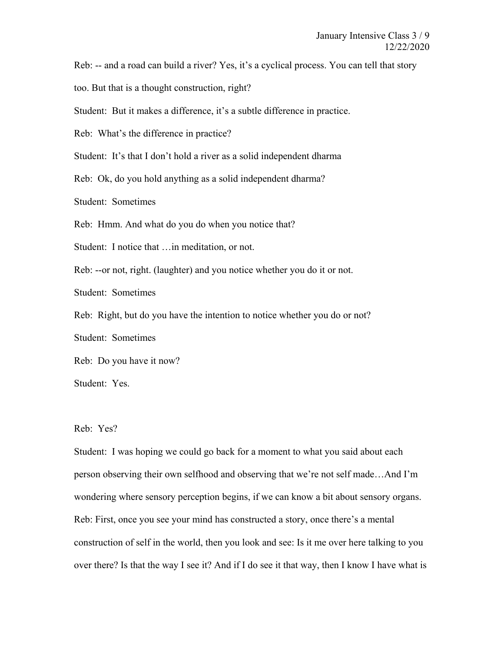Reb: -- and a road can build a river? Yes, it's a cyclical process. You can tell that story

too. But that is a thought construction, right?

Student: But it makes a difference, it's a subtle difference in practice.

Reb: What's the difference in practice?

Student: It's that I don't hold a river as a solid independent dharma

Reb: Ok, do you hold anything as a solid independent dharma?

Student: Sometimes

Reb: Hmm. And what do you do when you notice that?

Student: I notice that …in meditation, or not.

Reb: --or not, right. (laughter) and you notice whether you do it or not.

Student: Sometimes

Reb: Right, but do you have the intention to notice whether you do or not?

Student: Sometimes

Reb: Do you have it now?

Student: Yes.

## Reb: Yes?

Student: I was hoping we could go back for a moment to what you said about each person observing their own selfhood and observing that we're not self made…And I'm wondering where sensory perception begins, if we can know a bit about sensory organs. Reb: First, once you see your mind has constructed a story, once there's a mental construction of self in the world, then you look and see: Is it me over here talking to you over there? Is that the way I see it? And if I do see it that way, then I know I have what is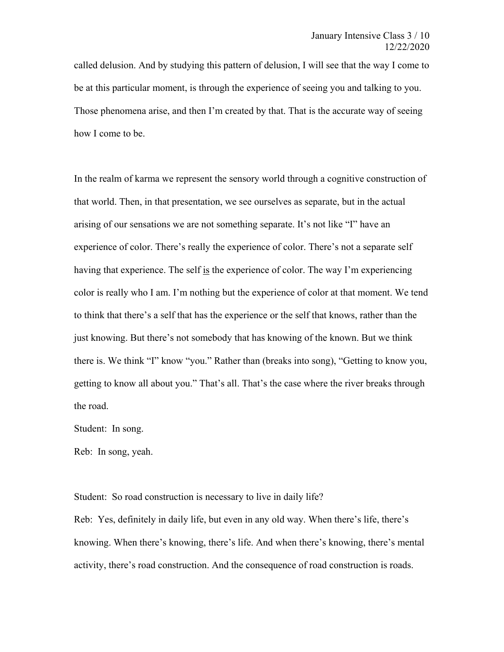called delusion. And by studying this pattern of delusion, I will see that the way I come to be at this particular moment, is through the experience of seeing you and talking to you. Those phenomena arise, and then I'm created by that. That is the accurate way of seeing how I come to be.

In the realm of karma we represent the sensory world through a cognitive construction of that world. Then, in that presentation, we see ourselves as separate, but in the actual arising of our sensations we are not something separate. It's not like "I" have an experience of color. There's really the experience of color. There's not a separate self having that experience. The self is the experience of color. The way I'm experiencing color is really who I am. I'm nothing but the experience of color at that moment. We tend to think that there's a self that has the experience or the self that knows, rather than the just knowing. But there's not somebody that has knowing of the known. But we think there is. We think "I" know "you." Rather than (breaks into song), "Getting to know you, getting to know all about you." That's all. That's the case where the river breaks through the road.

Student: In song.

Reb: In song, yeah.

Student: So road construction is necessary to live in daily life?

Reb: Yes, definitely in daily life, but even in any old way. When there's life, there's knowing. When there's knowing, there's life. And when there's knowing, there's mental activity, there's road construction. And the consequence of road construction is roads.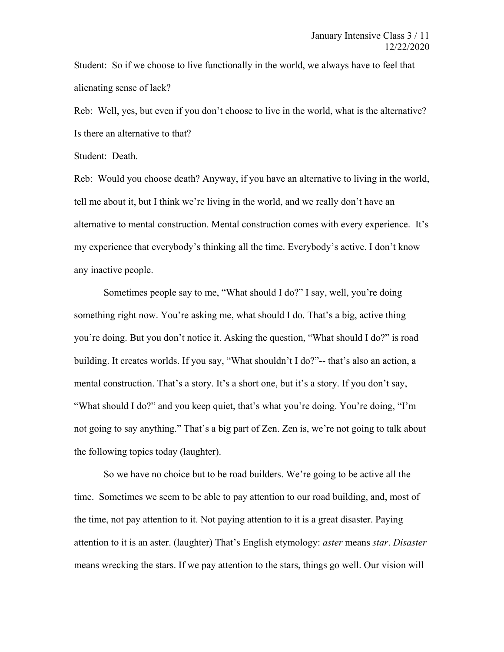Student: So if we choose to live functionally in the world, we always have to feel that alienating sense of lack?

Reb: Well, yes, but even if you don't choose to live in the world, what is the alternative? Is there an alternative to that?

Student: Death.

Reb: Would you choose death? Anyway, if you have an alternative to living in the world, tell me about it, but I think we're living in the world, and we really don't have an alternative to mental construction. Mental construction comes with every experience. It's my experience that everybody's thinking all the time. Everybody's active. I don't know any inactive people.

Sometimes people say to me, "What should I do?" I say, well, you're doing something right now. You're asking me, what should I do. That's a big, active thing you're doing. But you don't notice it. Asking the question, "What should I do?" is road building. It creates worlds. If you say, "What shouldn't I do?"-- that's also an action, a mental construction. That's a story. It's a short one, but it's a story. If you don't say, "What should I do?" and you keep quiet, that's what you're doing. You're doing, "I'm not going to say anything." That's a big part of Zen. Zen is, we're not going to talk about the following topics today (laughter).

So we have no choice but to be road builders. We're going to be active all the time. Sometimes we seem to be able to pay attention to our road building, and, most of the time, not pay attention to it. Not paying attention to it is a great disaster. Paying attention to it is an aster. (laughter) That's English etymology: *aster* means *star*. *Disaster* means wrecking the stars. If we pay attention to the stars, things go well. Our vision will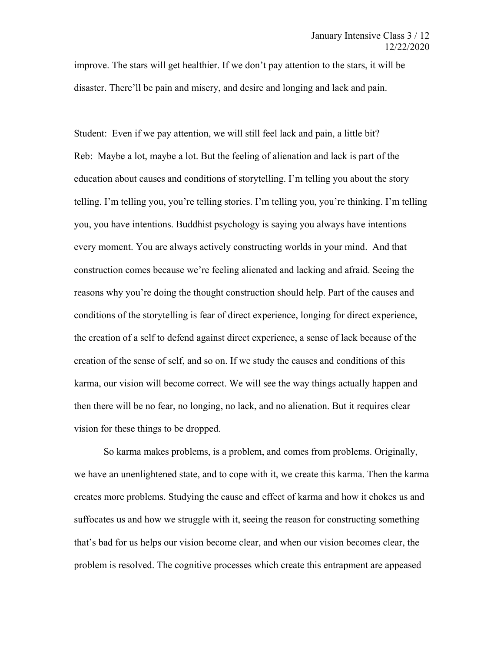improve. The stars will get healthier. If we don't pay attention to the stars, it will be disaster. There'll be pain and misery, and desire and longing and lack and pain.

Student: Even if we pay attention, we will still feel lack and pain, a little bit? Reb: Maybe a lot, maybe a lot. But the feeling of alienation and lack is part of the education about causes and conditions of storytelling. I'm telling you about the story telling. I'm telling you, you're telling stories. I'm telling you, you're thinking. I'm telling you, you have intentions. Buddhist psychology is saying you always have intentions every moment. You are always actively constructing worlds in your mind. And that construction comes because we're feeling alienated and lacking and afraid. Seeing the reasons why you're doing the thought construction should help. Part of the causes and conditions of the storytelling is fear of direct experience, longing for direct experience, the creation of a self to defend against direct experience, a sense of lack because of the creation of the sense of self, and so on. If we study the causes and conditions of this karma, our vision will become correct. We will see the way things actually happen and then there will be no fear, no longing, no lack, and no alienation. But it requires clear vision for these things to be dropped.

So karma makes problems, is a problem, and comes from problems. Originally, we have an unenlightened state, and to cope with it, we create this karma. Then the karma creates more problems. Studying the cause and effect of karma and how it chokes us and suffocates us and how we struggle with it, seeing the reason for constructing something that's bad for us helps our vision become clear, and when our vision becomes clear, the problem is resolved. The cognitive processes which create this entrapment are appeased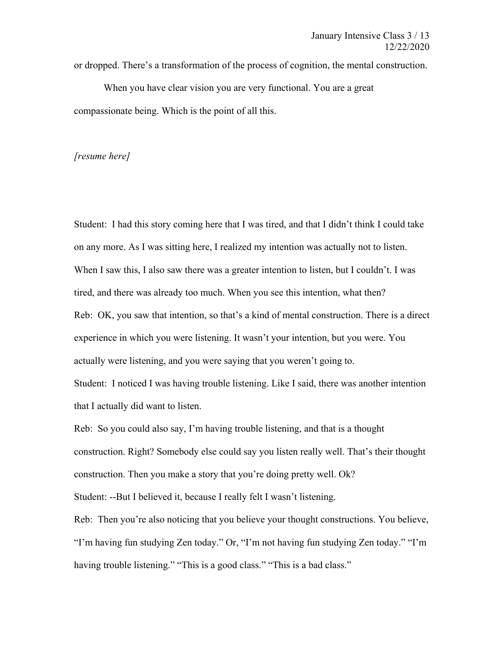or dropped. There's a transformation of the process of cognition, the mental construction.

When you have clear vision you are very functional. You are a great compassionate being. Which is the point of all this.

## *[resume here]*

Student: I had this story coming here that I was tired, and that I didn't think I could take on any more. As I was sitting here, I realized my intention was actually not to listen. When I saw this, I also saw there was a greater intention to listen, but I couldn't. I was tired, and there was already too much. When you see this intention, what then? Reb: OK, you saw that intention, so that's a kind of mental construction. There is a direct experience in which you were listening. It wasn't your intention, but you were. You actually were listening, and you were saying that you weren't going to. Student: I noticed I was having trouble listening. Like I said, there was another intention that I actually did want to listen.

Reb: So you could also say, I'm having trouble listening, and that is a thought construction. Right? Somebody else could say you listen really well. That's their thought construction. Then you make a story that you're doing pretty well. Ok? Student: --But I believed it, because I really felt I wasn't listening.

Reb: Then you're also noticing that you believe your thought constructions. You believe, "I'm having fun studying Zen today." Or, "I'm not having fun studying Zen today." "I'm having trouble listening." "This is a good class." "This is a bad class."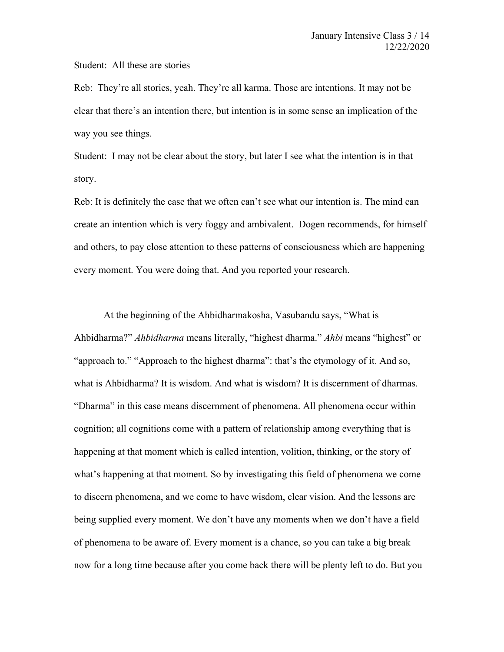## Student: All these are stories

Reb: They're all stories, yeah. They're all karma. Those are intentions. It may not be clear that there's an intention there, but intention is in some sense an implication of the way you see things.

Student: I may not be clear about the story, but later I see what the intention is in that story.

Reb: It is definitely the case that we often can't see what our intention is. The mind can create an intention which is very foggy and ambivalent. Dogen recommends, for himself and others, to pay close attention to these patterns of consciousness which are happening every moment. You were doing that. And you reported your research.

At the beginning of the Ahbidharmakosha, Vasubandu says, "What is Ahbidharma?" *Ahbidharma* means literally, "highest dharma." *Ahbi* means "highest" or "approach to." "Approach to the highest dharma": that's the etymology of it. And so, what is Ahbidharma? It is wisdom. And what is wisdom? It is discernment of dharmas. "Dharma" in this case means discernment of phenomena. All phenomena occur within cognition; all cognitions come with a pattern of relationship among everything that is happening at that moment which is called intention, volition, thinking, or the story of what's happening at that moment. So by investigating this field of phenomena we come to discern phenomena, and we come to have wisdom, clear vision. And the lessons are being supplied every moment. We don't have any moments when we don't have a field of phenomena to be aware of. Every moment is a chance, so you can take a big break now for a long time because after you come back there will be plenty left to do. But you